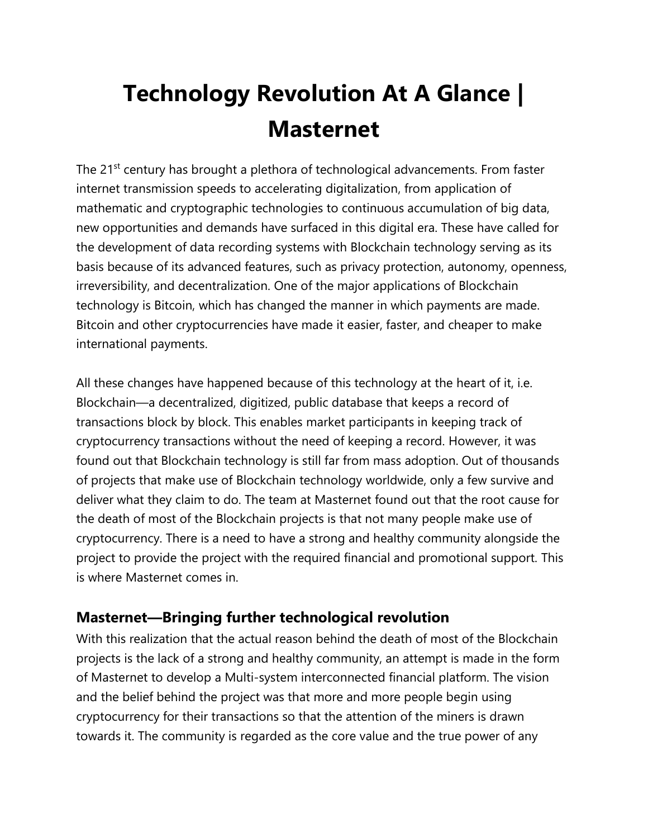## **Technology Revolution At A Glance | Masternet**

The 21<sup>st</sup> century has brought a plethora of technological advancements. From faster internet transmission speeds to accelerating digitalization, from application of mathematic and cryptographic technologies to continuous accumulation of big data, new opportunities and demands have surfaced in this digital era. These have called for the development of data recording systems with Blockchain technology serving as its basis because of its advanced features, such as privacy protection, autonomy, openness, irreversibility, and decentralization. One of the major applications of Blockchain technology is Bitcoin, which has changed the manner in which payments are made. Bitcoin and other cryptocurrencies have made it easier, faster, and cheaper to make international payments.

All these changes have happened because of this technology at the heart of it, i.e. Blockchain—a decentralized, digitized, public database that keeps a record of transactions block by block. This enables market participants in keeping track of cryptocurrency transactions without the need of keeping a record. However, it was found out that Blockchain technology is still far from mass adoption. Out of thousands of projects that make use of Blockchain technology worldwide, only a few survive and deliver what they claim to do. The team at Masternet found out that the root cause for the death of most of the Blockchain projects is that not many people make use of cryptocurrency. There is a need to have a strong and healthy community alongside the project to provide the project with the required financial and promotional support. This is where Masternet comes in.

## **Masternet—Bringing further technological revolution**

With this realization that the actual reason behind the death of most of the Blockchain projects is the lack of a strong and healthy community, an attempt is made in the form of Masternet to develop a Multi-system interconnected financial platform. The vision and the belief behind the project was that more and more people begin using cryptocurrency for their transactions so that the attention of the miners is drawn towards it. The community is regarded as the core value and the true power of any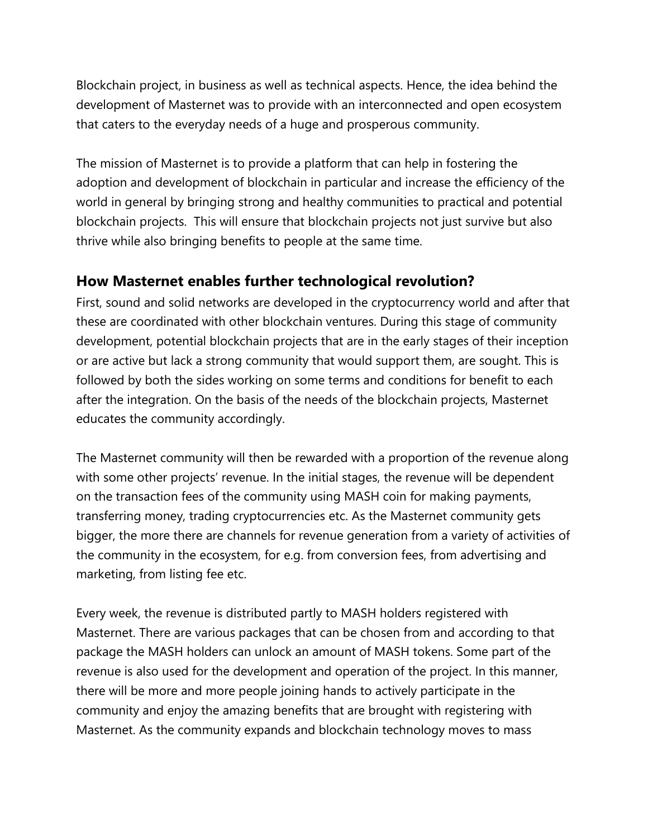Blockchain project, in business as well as technical aspects. Hence, the idea behind the development of Masternet was to provide with an interconnected and open ecosystem that caters to the everyday needs of a huge and prosperous community.

The mission of Masternet is to provide a platform that can help in fostering the adoption and development of blockchain in particular and increase the efficiency of the world in general by bringing strong and healthy communities to practical and potential blockchain projects. This will ensure that blockchain projects not just survive but also thrive while also bringing benefits to people at the same time.

## **How Masternet enables further technological revolution?**

First, sound and solid networks are developed in the cryptocurrency world and after that these are coordinated with other blockchain ventures. During this stage of community development, potential blockchain projects that are in the early stages of their inception or are active but lack a strong community that would support them, are sought. This is followed by both the sides working on some terms and conditions for benefit to each after the integration. On the basis of the needs of the blockchain projects, Masternet educates the community accordingly.

The Masternet community will then be rewarded with a proportion of the revenue along with some other projects' revenue. In the initial stages, the revenue will be dependent on the transaction fees of the community using MASH coin for making payments, transferring money, trading cryptocurrencies etc. As the Masternet community gets bigger, the more there are channels for revenue generation from a variety of activities of the community in the ecosystem, for e.g. from conversion fees, from advertising and marketing, from listing fee etc.

Every week, the revenue is distributed partly to MASH holders registered with Masternet. There are various packages that can be chosen from and according to that package the MASH holders can unlock an amount of MASH tokens. Some part of the revenue is also used for the development and operation of the project. In this manner, there will be more and more people joining hands to actively participate in the community and enjoy the amazing benefits that are brought with registering with Masternet. As the community expands and blockchain technology moves to mass